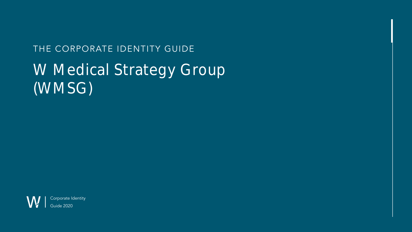# W Medical Strategy Group (WMSG) THE CORPORATE IDENTITY GUIDE

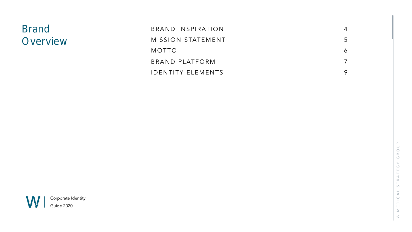| <b>Brand</b>    | BRAND INSPIRATION        | 4 |
|-----------------|--------------------------|---|
| <b>Overview</b> | MISSION STATEMENT        | 5 |
|                 | MOTTO                    | Ô |
|                 | BRAND PLATFORM           |   |
|                 | <b>IDENTITY ELEMENTS</b> |   |

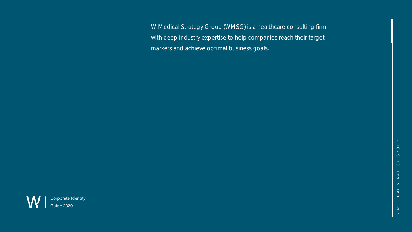W Medical Strategy Group (WMSG) is a healthcare consulting firm with deep industry expertise to help companies reach their target markets and achieve optimal business goals.

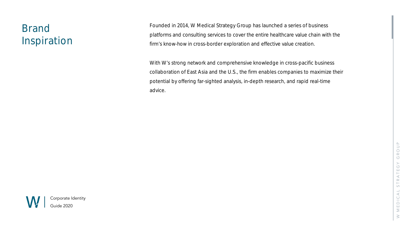### Brand Inspiration

Founded in 2014, W Medical Strategy Group has launched a series of business platforms and consulting services to cover the entire healthcare value chain with the firm's know-how in cross-border exploration and effective value creation.

With W's strong network and comprehensive knowledge in cross-pacific business collaboration of East Asia and the U.S., the firm enables companies to maximize their potential by offering far-sighted analysis, in-depth research, and rapid real-time advice.

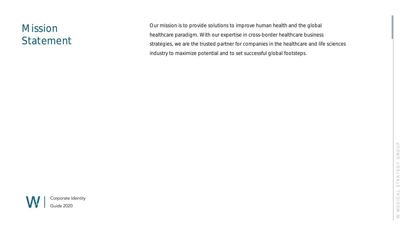### **Mission** Statement

Our mission is to provide solutions to improve human health and the global healthcare paradigm. With our expertise in cross-border healthcare business strategies, we are the trusted partner for companies in the healthcare and life sciences industry to maximize potential and to set successful global footsteps.

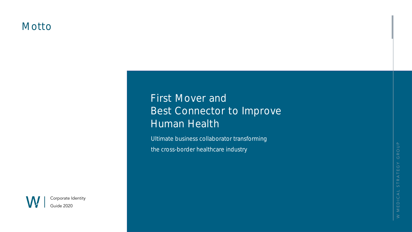### **Motto**

# First Mover and Best Connector to Improve Human Health

Ultimate business collaborator transforming the cross -border healthcare industry

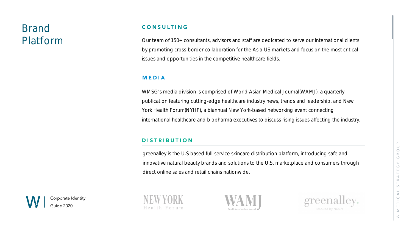### Brand Platform

### CONSULTING

Our team of 150+ consultants, advisors and staff are dedicated to serve our international clients by promoting cross-border collaboration for the Asia-US markets and focus on the most critical issues and opportunities in the competitive healthcare fields.

#### MEDIA

WMSG's media division is comprised of World Asian Medical Journal(WAMJ), a quarterly publication featuring cutting-edge healthcare industry news, trends and leadership, and New York Health Forum(NYHF), a biannual New York-based networking event connecting international healthcare and biopharma executives to discuss rising issues affecting the industry.

#### **DISTRIBUTION**

greenalley is the U.S based full-service skincare distribution platform, introducing safe and innovative natural beauty brands and solutions to the U.S. marketplace and consumers through direct online sales and retail chains nationwide.







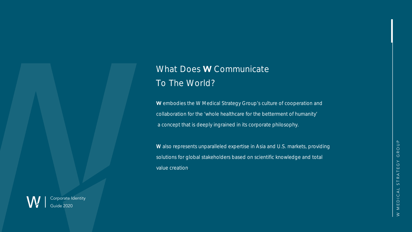### What Does W Communicate To The World?

W embodies the W Medical Strategy Group's culture of cooperation and collaboration for the 'whole healthcare for the betterment of humanity' a concept that is deeply ingrained in its corporate philosophy.

W also represents unparalleled expertise in Asia and U.S. markets, providing solutions for global stakeholders based on scientific knowledge and total value creation.

Corporate Identity Guide 2020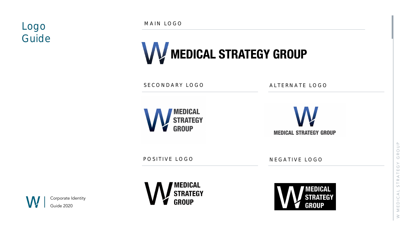

MAIN LOGO



SECONDARY LOGO ALTERNATE LOGO





POSITIVE LOGO NEGATIVE LOGO





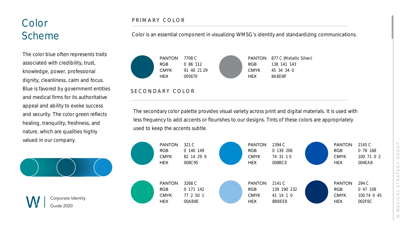## Color Scheme

The color blue often represents traits associated with credibility, trust, knowledge, power, professional dignity, cleanliness, calm and focus. Blue is favored by government entities and medical firms for its authoritative appeal and ability to evoke success and security. The color green reflects healing, tranquility, freshness, and nature, which are qualities highly valued in our company.

Corporate Identity Guide 2020

#### PRIMARY COLOR

Color is an essential component in visualizing WMSG's identity and standardizing communications.



### SECONDARY COLOR

The secondary color palette provides visual variety across print and digital materials. It is used with less frequency to add accents or flourishes to our designs. Tints of these colors are appropriately used to keep the accents subtle.